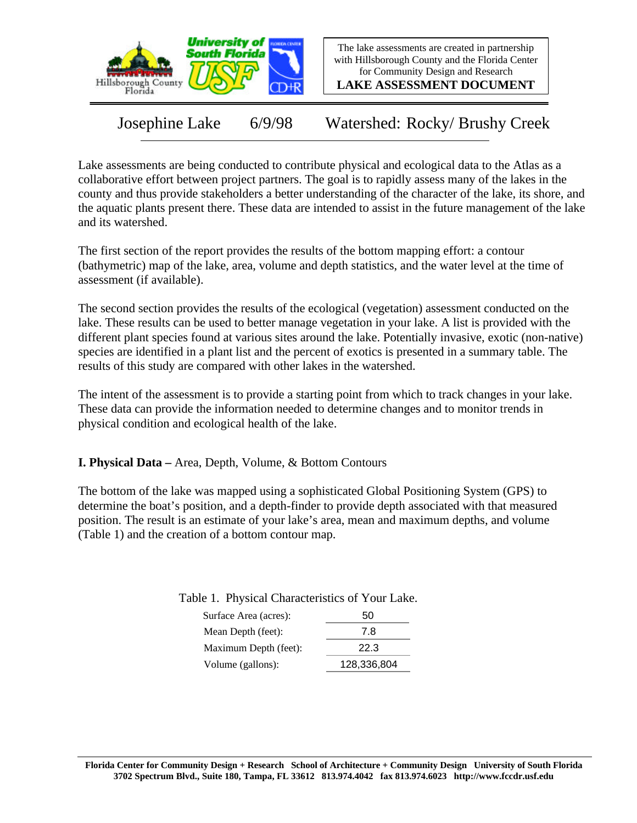

The lake assessments are created in partnership with Hillsborough County and the Florida Center for Community Design and Research

**LAKE ASSESSMENT DOCUMENT**

Josephine Lake 6/9/98 Watershed: Rocky/ Brushy Creek

Lake assessments are being conducted to contribute physical and ecological data to the Atlas as a collaborative effort between project partners. The goal is to rapidly assess many of the lakes in the county and thus provide stakeholders a better understanding of the character of the lake, its shore, and the aquatic plants present there. These data are intended to assist in the future management of the lake and its watershed.

The first section of the report provides the results of the bottom mapping effort: a contour (bathymetric) map of the lake, area, volume and depth statistics, and the water level at the time of assessment (if available).

The second section provides the results of the ecological (vegetation) assessment conducted on the lake. These results can be used to better manage vegetation in your lake. A list is provided with the different plant species found at various sites around the lake. Potentially invasive, exotic (non-native) species are identified in a plant list and the percent of exotics is presented in a summary table. The results of this study are compared with other lakes in the watershed.

The intent of the assessment is to provide a starting point from which to track changes in your lake. These data can provide the information needed to determine changes and to monitor trends in physical condition and ecological health of the lake.

**I. Physical Data –** Area, Depth, Volume, & Bottom Contours

The bottom of the lake was mapped using a sophisticated Global Positioning System (GPS) to determine the boat's position, and a depth-finder to provide depth associated with that measured position. The result is an estimate of your lake's area, mean and maximum depths, and volume (Table 1) and the creation of a bottom contour map.

Table 1. Physical Characteristics of Your Lake.

| Surface Area (acres): | 50          |  |  |
|-----------------------|-------------|--|--|
| Mean Depth (feet):    | 7.8         |  |  |
| Maximum Depth (feet): | 22.3        |  |  |
| Volume (gallons):     | 128,336,804 |  |  |
|                       |             |  |  |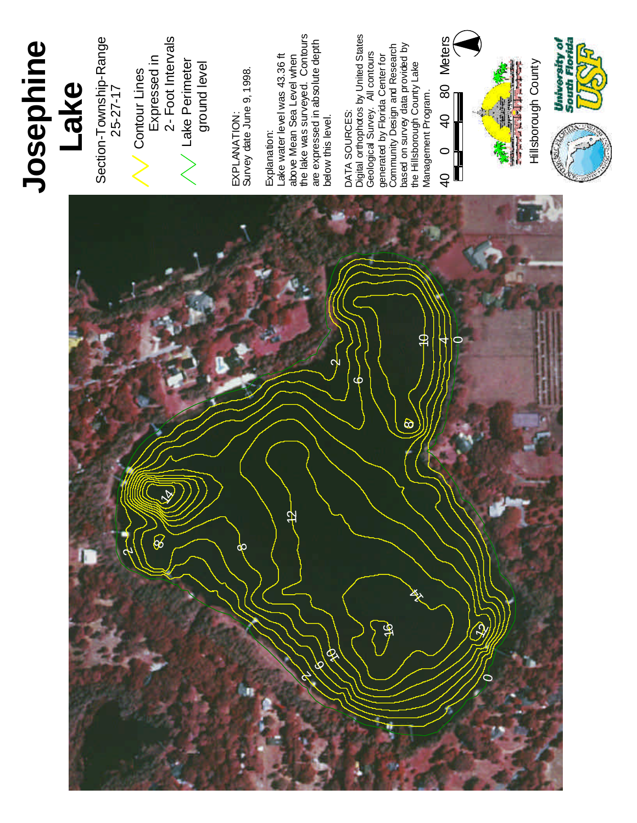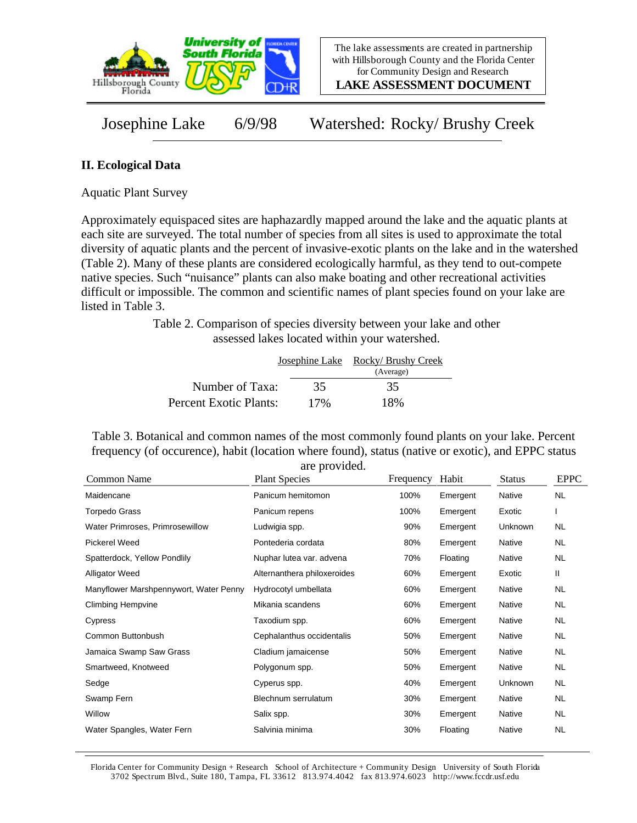

**LAKE ASSESSMENT DOCUMENT**

Josephine Lake 6/9/98 Watershed: Rocky/ Brushy Creek

## **II. Ecological Data**

Aquatic Plant Survey

Approximately equispaced sites are haphazardly mapped around the lake and the aquatic plants at each site are surveyed. The total number of species from all sites is used to approximate the total diversity of aquatic plants and the percent of invasive-exotic plants on the lake and in the watershed (Table 2). Many of these plants are considered ecologically harmful, as they tend to out-compete native species. Such "nuisance" plants can also make boating and other recreational activities difficult or impossible. The common and scientific names of plant species found on your lake are listed in Table 3.

> Table 2. Comparison of species diversity between your lake and other assessed lakes located within your watershed.

|                        |     | Josephine Lake Rocky/ Brushy Creek<br>(Average) |
|------------------------|-----|-------------------------------------------------|
| Number of Taxa:        | 35  | 35                                              |
| Percent Exotic Plants: | 17% | 18%                                             |

Table 3. Botanical and common names of the most commonly found plants on your lake. Percent frequency (of occurence), habit (location where found), status (native or exotic), and EPPC status are provided.

| Common Name                            | <b>Plant Species</b>        | Frequency | Habit    | <b>Status</b> | <b>EPPC</b> |
|----------------------------------------|-----------------------------|-----------|----------|---------------|-------------|
| Maidencane                             | Panicum hemitomon           | 100%      | Emergent | Native        | <b>NL</b>   |
| Torpedo Grass                          | Panicum repens              | 100%      | Emergent | Exotic        |             |
| Water Primroses, Primrosewillow        | Ludwigia spp.               | 90%       | Emergent | Unknown       | <b>NL</b>   |
| <b>Pickerel Weed</b>                   | Pontederia cordata          | 80%       | Emergent | Native        | NL.         |
| Spatterdock, Yellow Pondlily           | Nuphar lutea var. advena    | 70%       | Floating | Native        | NL.         |
| <b>Alligator Weed</b>                  | Alternanthera philoxeroides | 60%       | Emergent | Exotic        | Ш           |
| Manyflower Marshpennywort, Water Penny | Hydrocotyl umbellata        | 60%       | Emergent | Native        | <b>NL</b>   |
| <b>Climbing Hempvine</b>               | Mikania scandens            | 60%       | Emergent | Native        | NL.         |
| Cypress                                | Taxodium spp.               | 60%       | Emergent | Native        | NL.         |
| Common Buttonbush                      | Cephalanthus occidentalis   | 50%       | Emergent | Native        | NL.         |
| Jamaica Swamp Saw Grass                | Cladium jamaicense          | 50%       | Emergent | Native        | <b>NL</b>   |
| Smartweed, Knotweed                    | Polygonum spp.              | 50%       | Emergent | Native        | NL.         |
| Sedge                                  | Cyperus spp.                | 40%       | Emergent | Unknown       | NL.         |
| Swamp Fern                             | Blechnum serrulatum         | 30%       | Emergent | Native        | NL.         |
| Willow                                 | Salix spp.                  | 30%       | Emergent | Native        | NL.         |
| Water Spangles, Water Fern             | Salvinia minima             | 30%       | Floating | Native        | <b>NL</b>   |

Florida Center for Community Design + Research School of Architecture + Community Design University of South Florida 3702 Spectrum Blvd., Suite 180, Tampa, FL 33612 813.974.4042 fax 813.974.6023 http://www.fccdr.usf.edu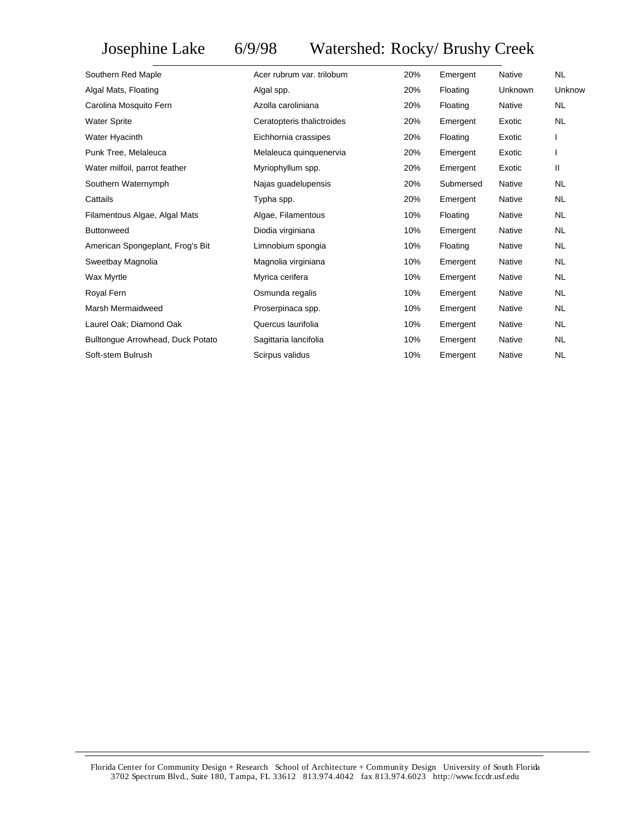## Josephine Lake 6/9/98 Watershed: Rocky/ Brushy Creek

| Southern Red Maple                | Acer rubrum var. trilobum  | 20% | Emergent  | Native        | NL.          |
|-----------------------------------|----------------------------|-----|-----------|---------------|--------------|
| Algal Mats, Floating              | Algal spp.                 | 20% | Floating  | Unknown       | Unknow       |
| Carolina Mosquito Fern            | Azolla caroliniana         | 20% | Floating  | <b>Native</b> | <b>NL</b>    |
| <b>Water Sprite</b>               | Ceratopteris thalictroides | 20% | Emergent  | Exotic        | <b>NL</b>    |
| Water Hyacinth                    | Eichhornia crassipes       | 20% | Floating  | Exotic        |              |
| Punk Tree, Melaleuca              | Melaleuca quinquenervia    | 20% | Emergent  | Exotic        | $\mathsf{l}$ |
| Water milfoil, parrot feather     | Myriophyllum spp.          | 20% | Emergent  | Exotic        | Ш            |
| Southern Waternymph               | Najas guadelupensis        | 20% | Submersed | Native        | <b>NL</b>    |
| Cattails                          | Typha spp.                 | 20% | Emergent  | Native        | NL.          |
| Filamentous Algae, Algal Mats     | Algae, Filamentous         | 10% | Floating  | Native        | <b>NL</b>    |
| <b>Buttonweed</b>                 | Diodia virginiana          | 10% | Emergent  | <b>Native</b> | <b>NL</b>    |
| American Spongeplant, Frog's Bit  | Limnobium spongia          | 10% | Floating  | Native        | <b>NL</b>    |
| Sweetbay Magnolia                 | Magnolia virginiana        | 10% | Emergent  | Native        | NL.          |
| Wax Myrtle                        | Myrica cerifera            | 10% | Emergent  | Native        | <b>NL</b>    |
| Royal Fern                        | Osmunda regalis            | 10% | Emergent  | <b>Native</b> | <b>NL</b>    |
| Marsh Mermaidweed                 | Proserpinaca spp.          | 10% | Emergent  | Native        | <b>NL</b>    |
| Laurel Oak; Diamond Oak           | Quercus laurifolia         | 10% | Emergent  | Native        | <b>NL</b>    |
| Bulltongue Arrowhead, Duck Potato | Sagittaria lancifolia      | 10% | Emergent  | Native        | <b>NL</b>    |
| Soft-stem Bulrush                 | Scirpus validus            | 10% | Emergent  | <b>Native</b> | NL           |